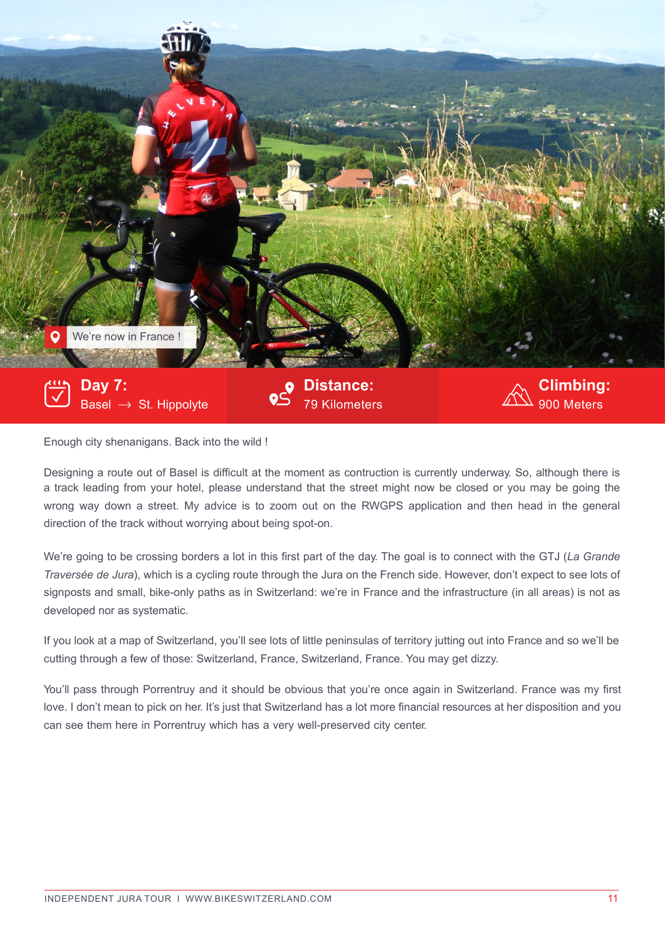

Enough city shenanigans. Back into the wild !

Designing a route out of Basel is difficult at the moment as contruction is currently underway. So, although there is a track leading from your hotel, please understand that the street might now be closed or you may be going the wrong way down a street. My advice is to zoom out on the RWGPS application and then head in the general direction of the track without worrying about being spot-on.

We're going to be crossing borders a lot in this first part of the day. The goal is to connect with the GTJ (*La Grande Traversée de Jura*), which is a cycling route through the Jura on the French side. However, don't expect to see lots of signposts and small, bike-only paths as in Switzerland: we're in France and the infrastructure (in all areas) is not as developed nor as systematic.

If you look at a map of Switzerland, you'll see lots of little peninsulas of territory jutting out into France and so we'll be cutting through a few of those: Switzerland, France, Switzerland, France. You may get dizzy.

You'll pass through Porrentruy and it should be obvious that you're once again in Switzerland. France was my first love. I don't mean to pick on her. It's just that Switzerland has a lot more financial resources at her disposition and you can see them here in Porrentruy which has a very well-preserved city center.